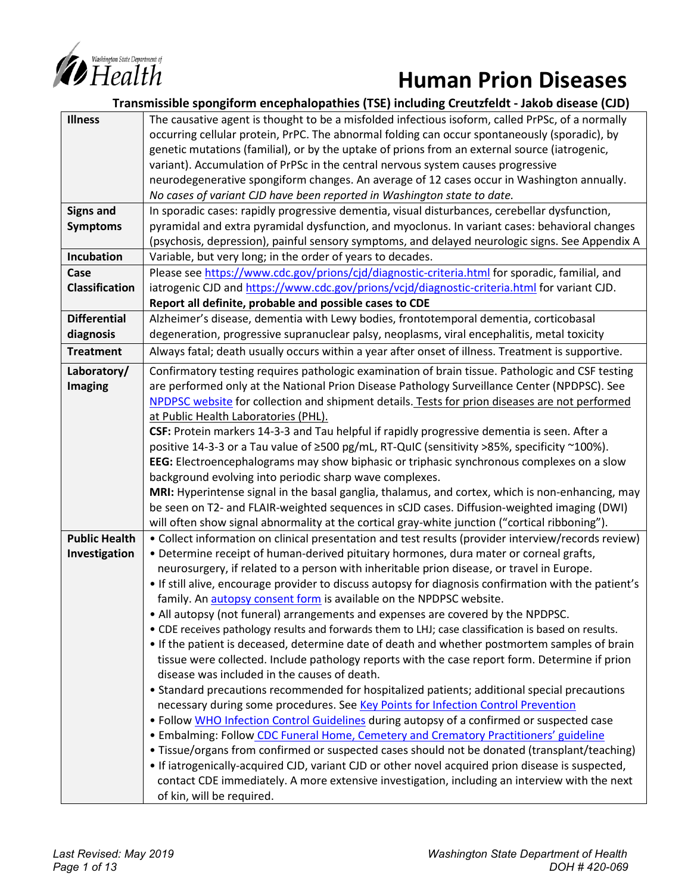

# *Expariment of EQUITA* **Human Prion Diseases**

|                       | Transmissible spongiform encephalopathies (TSE) including Creutzfeldt - Jakob disease (CJD)           |  |  |
|-----------------------|-------------------------------------------------------------------------------------------------------|--|--|
| <b>Illness</b>        | The causative agent is thought to be a misfolded infectious isoform, called PrPSc, of a normally      |  |  |
|                       | occurring cellular protein, PrPC. The abnormal folding can occur spontaneously (sporadic), by         |  |  |
|                       | genetic mutations (familial), or by the uptake of prions from an external source (iatrogenic,         |  |  |
|                       | variant). Accumulation of PrPSc in the central nervous system causes progressive                      |  |  |
|                       | neurodegenerative spongiform changes. An average of 12 cases occur in Washington annually.            |  |  |
|                       | No cases of variant CJD have been reported in Washington state to date.                               |  |  |
| <b>Signs and</b>      | In sporadic cases: rapidly progressive dementia, visual disturbances, cerebellar dysfunction,         |  |  |
| <b>Symptoms</b>       | pyramidal and extra pyramidal dysfunction, and myoclonus. In variant cases: behavioral changes        |  |  |
|                       | (psychosis, depression), painful sensory symptoms, and delayed neurologic signs. See Appendix A       |  |  |
| Incubation            | Variable, but very long; in the order of years to decades.                                            |  |  |
| Case                  | Please see https://www.cdc.gov/prions/cjd/diagnostic-criteria.html for sporadic, familial, and        |  |  |
| <b>Classification</b> | iatrogenic CJD and https://www.cdc.gov/prions/vcjd/diagnostic-criteria.html for variant CJD.          |  |  |
|                       | Report all definite, probable and possible cases to CDE                                               |  |  |
| <b>Differential</b>   | Alzheimer's disease, dementia with Lewy bodies, frontotemporal dementia, corticobasal                 |  |  |
| diagnosis             | degeneration, progressive supranuclear palsy, neoplasms, viral encephalitis, metal toxicity           |  |  |
| <b>Treatment</b>      | Always fatal; death usually occurs within a year after onset of illness. Treatment is supportive.     |  |  |
| Laboratory/           | Confirmatory testing requires pathologic examination of brain tissue. Pathologic and CSF testing      |  |  |
| <b>Imaging</b>        | are performed only at the National Prion Disease Pathology Surveillance Center (NPDPSC). See          |  |  |
|                       | NPDPSC website for collection and shipment details. Tests for prion diseases are not performed        |  |  |
|                       | at Public Health Laboratories (PHL).                                                                  |  |  |
|                       | CSF: Protein markers 14-3-3 and Tau helpful if rapidly progressive dementia is seen. After a          |  |  |
|                       | positive 14-3-3 or a Tau value of ≥500 pg/mL, RT-QuIC (sensitivity >85%, specificity ~100%).          |  |  |
|                       | EEG: Electroencephalograms may show biphasic or triphasic synchronous complexes on a slow             |  |  |
|                       | background evolving into periodic sharp wave complexes.                                               |  |  |
|                       | MRI: Hyperintense signal in the basal ganglia, thalamus, and cortex, which is non-enhancing, may      |  |  |
|                       | be seen on T2- and FLAIR-weighted sequences in sCJD cases. Diffusion-weighted imaging (DWI)           |  |  |
|                       | will often show signal abnormality at the cortical gray-white junction ("cortical ribboning").        |  |  |
| <b>Public Health</b>  | • Collect information on clinical presentation and test results (provider interview/records review)   |  |  |
| Investigation         | . Determine receipt of human-derived pituitary hormones, dura mater or corneal grafts,                |  |  |
|                       | neurosurgery, if related to a person with inheritable prion disease, or travel in Europe.             |  |  |
|                       | • If still alive, encourage provider to discuss autopsy for diagnosis confirmation with the patient's |  |  |
|                       | family. An autopsy consent form is available on the NPDPSC website.                                   |  |  |
|                       | • All autopsy (not funeral) arrangements and expenses are covered by the NPDPSC.                      |  |  |
|                       | . CDE receives pathology results and forwards them to LHJ; case classification is based on results.   |  |  |
|                       | • If the patient is deceased, determine date of death and whether postmortem samples of brain         |  |  |
|                       | tissue were collected. Include pathology reports with the case report form. Determine if prion        |  |  |
|                       | disease was included in the causes of death.                                                          |  |  |
|                       | • Standard precautions recommended for hospitalized patients; additional special precautions          |  |  |
|                       | necessary during some procedures. See Key Points for Infection Control Prevention                     |  |  |
|                       | • Follow WHO Infection Control Guidelines during autopsy of a confirmed or suspected case             |  |  |
|                       | • Embalming: Follow CDC Funeral Home, Cemetery and Crematory Practitioners' guideline                 |  |  |
|                       | • Tissue/organs from confirmed or suspected cases should not be donated (transplant/teaching)         |  |  |
|                       | • If iatrogenically-acquired CJD, variant CJD or other novel acquired prion disease is suspected,     |  |  |
|                       | contact CDE immediately. A more extensive investigation, including an interview with the next         |  |  |
|                       | of kin, will be required.                                                                             |  |  |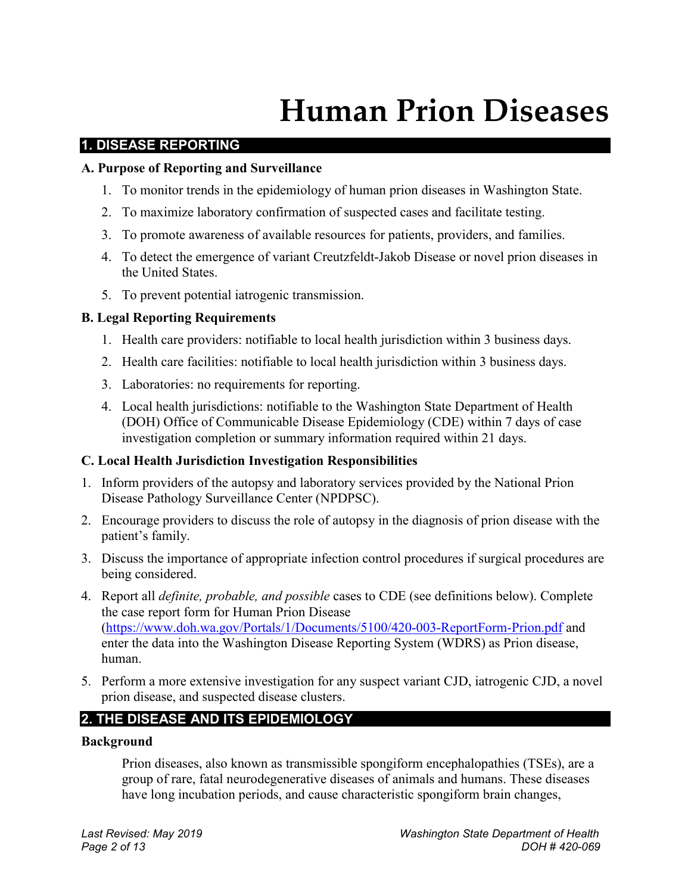# **Human Prion Diseases**

#### **1. DISEASE REPORTING**

#### **A. Purpose of Reporting and Surveillance**

- 1. To monitor trends in the epidemiology of human prion diseases in Washington State.
- 2. To maximize laboratory confirmation of suspected cases and facilitate testing.
- 3. To promote awareness of available resources for patients, providers, and families.
- 4. To detect the emergence of variant Creutzfeldt-Jakob Disease or novel prion diseases in the United States.
- 5. To prevent potential iatrogenic transmission.

#### **B. Legal Reporting Requirements**

- 1. Health care providers: notifiable to local health jurisdiction within 3 business days.
- 2. Health care facilities: notifiable to local health jurisdiction within 3 business days.
- 3. Laboratories: no requirements for reporting.
- 4. Local health jurisdictions: notifiable to the Washington State Department of Health (DOH) Office of Communicable Disease Epidemiology (CDE) within 7 days of case investigation completion or summary information required within 21 days.

#### **C. Local Health Jurisdiction Investigation Responsibilities**

- 1. Inform providers of the autopsy and laboratory services provided by the National Prion Disease Pathology Surveillance Center (NPDPSC).
- 2. Encourage providers to discuss the role of autopsy in the diagnosis of prion disease with the patient's family.
- 3. Discuss the importance of appropriate infection control procedures if surgical procedures are being considered.
- 4. Report all *definite, probable, and possible* cases to CDE (see definitions below). Complete the case report form for Human Prion Disease [\(https://www.doh.wa.gov/Portals/1/Documents/5100/420-003-ReportForm-Prion.pdf](https://www.doh.wa.gov/Portals/1/Documents/5100/420-003-ReportForm-Prion.pdf) and enter the data into the Washington Disease Reporting System (WDRS) as Prion disease, human.
- 5. Perform a more extensive investigation for any suspect variant CJD, iatrogenic CJD, a novel prion disease, and suspected disease clusters.

# **2. THE DISEASE AND ITS EPIDEMIOLOGY**

#### **Background**

Prion diseases, also known as transmissible spongiform encephalopathies (TSEs), are a group of rare, fatal neurodegenerative diseases of animals and humans. These diseases have long incubation periods, and cause characteristic spongiform brain changes,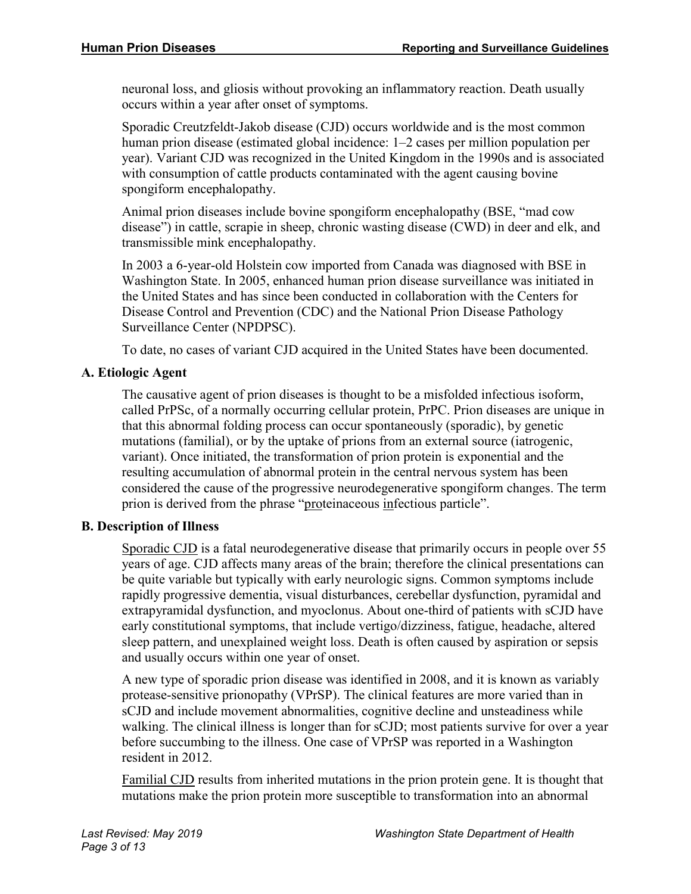neuronal loss, and gliosis without provoking an inflammatory reaction. Death usually occurs within a year after onset of symptoms.

Sporadic Creutzfeldt-Jakob disease (CJD) occurs worldwide and is the most common human prion disease (estimated global incidence: 1–2 cases per million population per year). Variant CJD was recognized in the United Kingdom in the 1990s and is associated with consumption of cattle products contaminated with the agent causing bovine spongiform encephalopathy.

Animal prion diseases include bovine spongiform encephalopathy (BSE, "mad cow disease") in cattle, scrapie in sheep, chronic wasting disease (CWD) in deer and elk, and transmissible mink encephalopathy.

In 2003 a 6-year-old Holstein cow imported from Canada was diagnosed with BSE in Washington State. In 2005, enhanced human prion disease surveillance was initiated in the United States and has since been conducted in collaboration with the Centers for Disease Control and Prevention (CDC) and the National Prion Disease Pathology Surveillance Center (NPDPSC).

To date, no cases of variant CJD acquired in the United States have been documented.

#### **A. Etiologic Agent**

The causative agent of prion diseases is thought to be a misfolded infectious isoform, called PrPSc, of a normally occurring cellular protein, PrPC. Prion diseases are unique in that this abnormal folding process can occur spontaneously (sporadic), by genetic mutations (familial), or by the uptake of prions from an external source (iatrogenic, variant). Once initiated, the transformation of prion protein is exponential and the resulting accumulation of abnormal protein in the central nervous system has been considered the cause of the progressive neurodegenerative spongiform changes. The term prion is derived from the phrase "proteinaceous infectious particle".

#### **B. Description of Illness**

Sporadic CJD is a fatal neurodegenerative disease that primarily occurs in people over 55 years of age. CJD affects many areas of the brain; therefore the clinical presentations can be quite variable but typically with early neurologic signs. Common symptoms include rapidly progressive dementia, visual disturbances, cerebellar dysfunction, pyramidal and extrapyramidal dysfunction, and myoclonus. About one-third of patients with sCJD have early constitutional symptoms, that include vertigo/dizziness, fatigue, headache, altered sleep pattern, and unexplained weight loss. Death is often caused by aspiration or sepsis and usually occurs within one year of onset.

A new type of sporadic prion disease was identified in 2008, and it is known as variably protease-sensitive prionopathy (VPrSP). The clinical features are more varied than in sCJD and include movement abnormalities, cognitive decline and unsteadiness while walking. The clinical illness is longer than for sCJD; most patients survive for over a year before succumbing to the illness. One case of VPrSP was reported in a Washington resident in 2012.

Familial CJD results from inherited mutations in the prion protein gene. It is thought that mutations make the prion protein more susceptible to transformation into an abnormal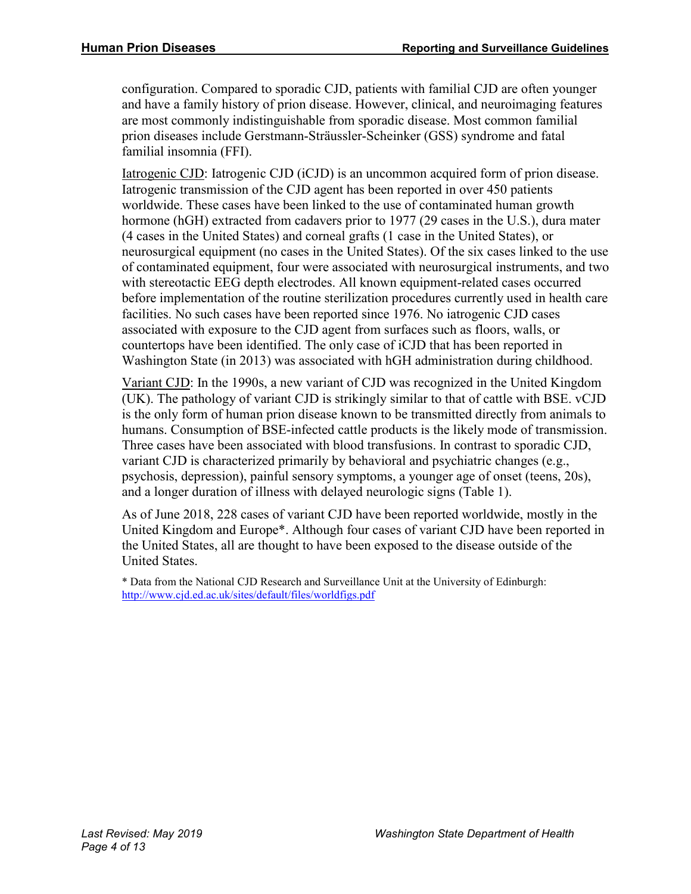configuration. Compared to sporadic CJD, patients with familial CJD are often younger and have a family history of prion disease. However, clinical, and neuroimaging features are most commonly indistinguishable from sporadic disease. Most common familial prion diseases include Gerstmann-Sträussler-Scheinker (GSS) syndrome and fatal familial insomnia (FFI).

Iatrogenic CJD: Iatrogenic CJD (iCJD) is an uncommon acquired form of prion disease. Iatrogenic transmission of the CJD agent has been reported in over 450 patients worldwide. These cases have been linked to the use of contaminated human growth hormone (hGH) extracted from cadavers prior to 1977 (29 cases in the U.S.), dura mater (4 cases in the United States) and corneal grafts (1 case in the United States), or neurosurgical equipment (no cases in the United States). Of the six cases linked to the use of contaminated equipment, four were associated with neurosurgical instruments, and two with stereotactic EEG depth electrodes. All known equipment-related cases occurred before implementation of the routine sterilization procedures currently used in health care facilities. No such cases have been reported since 1976. No iatrogenic CJD cases associated with exposure to the CJD agent from surfaces such as floors, walls, or countertops have been identified. The only case of iCJD that has been reported in Washington State (in 2013) was associated with hGH administration during childhood.

Variant CJD: In the 1990s, a new variant of CJD was recognized in the United Kingdom (UK). The pathology of variant CJD is strikingly similar to that of cattle with BSE. vCJD is the only form of human prion disease known to be transmitted directly from animals to humans. Consumption of BSE-infected cattle products is the likely mode of transmission. Three cases have been associated with blood transfusions. In contrast to sporadic CJD, variant CJD is characterized primarily by behavioral and psychiatric changes (e.g., psychosis, depression), painful sensory symptoms, a younger age of onset (teens, 20s), and a longer duration of illness with delayed neurologic signs (Table 1).

As of June 2018, 228 cases of variant CJD have been reported worldwide, mostly in the United Kingdom and Europe\*. Although four cases of variant CJD have been reported in the United States, all are thought to have been exposed to the disease outside of the United States.

\* Data from the National CJD Research and Surveillance Unit at the University of Edinburgh: <http://www.cjd.ed.ac.uk/sites/default/files/worldfigs.pdf>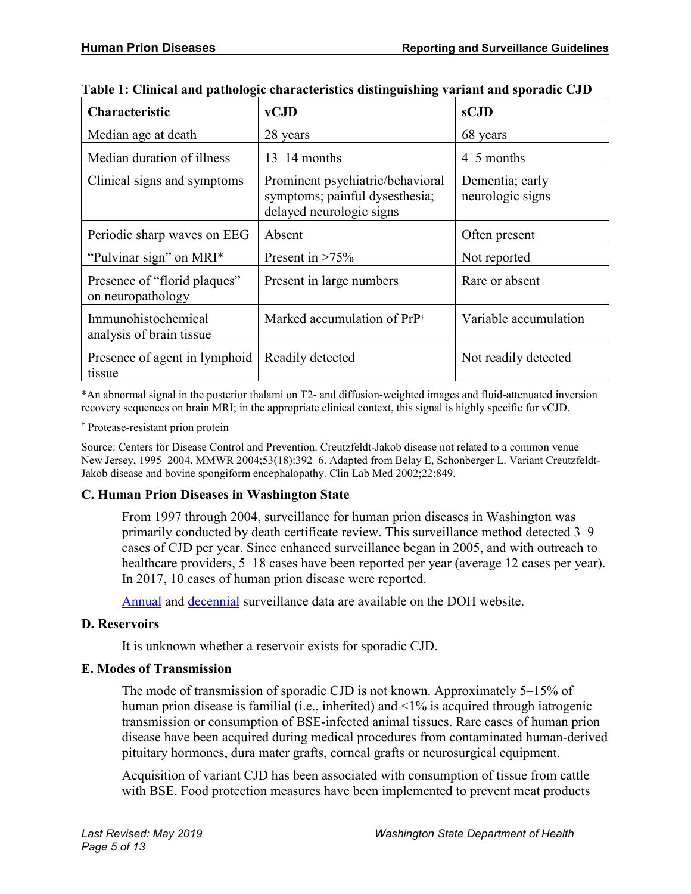| <b>Characteristic</b>                             | vCJD                                                                                           | sCJD                                |
|---------------------------------------------------|------------------------------------------------------------------------------------------------|-------------------------------------|
| Median age at death                               | 28 years                                                                                       | 68 years                            |
| Median duration of illness                        | $13-14$ months                                                                                 | $4-5$ months                        |
| Clinical signs and symptoms                       | Prominent psychiatric/behavioral<br>symptoms; painful dysesthesia;<br>delayed neurologic signs | Dementia; early<br>neurologic signs |
| Periodic sharp waves on EEG                       | Absent                                                                                         | Often present                       |
| "Pulvinar sign" on MRI*                           | Present in $>75\%$                                                                             | Not reported                        |
| Presence of "florid plaques"<br>on neuropathology | Present in large numbers                                                                       | Rare or absent                      |
| Immunohistochemical<br>analysis of brain tissue   | Marked accumulation of PrP <sup>†</sup>                                                        | Variable accumulation               |
| Presence of agent in lymphoid<br>tissue           | Readily detected                                                                               | Not readily detected                |

**Table 1: Clinical and pathologic characteristics distinguishing variant and sporadic CJD**

\*An abnormal signal in the posterior thalami on T2- and diffusion-weighted images and fluid-attenuated inversion recovery sequences on brain MRI; in the appropriate clinical context, this signal is highly specific for vCJD.

† Protease-resistant prion protein

Source: Centers for Disease Control and Prevention. Creutzfeldt-Jakob disease not related to a common venue— New Jersey, 1995–2004. MMWR 2004;53(18):392–6. Adapted from Belay E, Schonberger L. Variant Creutzfeldt-Jakob disease and bovine spongiform encephalopathy. Clin Lab Med 2002;22:849.

#### **C. Human Prion Diseases in Washington State**

From 1997 through 2004, surveillance for human prion diseases in Washington was primarily conducted by death certificate review. This surveillance method detected 3–9 cases of CJD per year. Since enhanced surveillance began in 2005, and with outreach to healthcare providers, 5–18 cases have been reported per year (average 12 cases per year). In 2017, 10 cases of human prion disease were reported.

[Annual](https://www.doh.wa.gov/Portals/1/Documents/5100/420-161-PrionAnnualSurveillanceSummary.pdf) and [decennial](https://www.doh.wa.gov/Portals/1/Documents/5100/420-093-Prion10YearSurveillanceSummary.pdf) surveillance data are available on the DOH website.

#### **D. Reservoirs**

It is unknown whether a reservoir exists for sporadic CJD.

#### **E. Modes of Transmission**

The mode of transmission of sporadic CJD is not known. Approximately 5–15% of human prion disease is familial (i.e., inherited) and <1% is acquired through iatrogenic transmission or consumption of BSE-infected animal tissues. Rare cases of human prion disease have been acquired during medical procedures from contaminated human-derived pituitary hormones, dura mater grafts, corneal grafts or neurosurgical equipment.

Acquisition of variant CJD has been associated with consumption of tissue from cattle with BSE. Food protection measures have been implemented to prevent meat products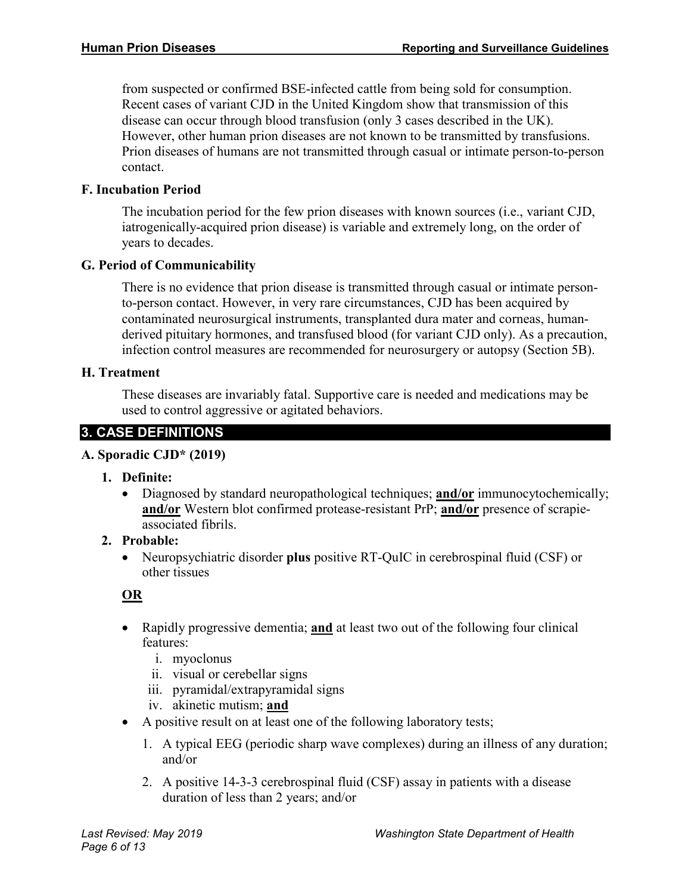from suspected or confirmed BSE-infected cattle from being sold for consumption. Recent cases of variant CJD in the United Kingdom show that transmission of this disease can occur through blood transfusion (only 3 cases described in the UK). However, other human prion diseases are not known to be transmitted by transfusions. Prion diseases of humans are not transmitted through casual or intimate person-to-person contact.

#### **F. Incubation Period**

The incubation period for the few prion diseases with known sources (i.e., variant CJD, iatrogenically-acquired prion disease) is variable and extremely long, on the order of years to decades.

#### **G. Period of Communicability**

There is no evidence that prion disease is transmitted through casual or intimate personto-person contact. However, in very rare circumstances, CJD has been acquired by contaminated neurosurgical instruments, transplanted dura mater and corneas, humanderived pituitary hormones, and transfused blood (for variant CJD only). As a precaution, infection control measures are recommended for neurosurgery or autopsy (Section 5B).

#### **H. Treatment**

These diseases are invariably fatal. Supportive care is needed and medications may be used to control aggressive or agitated behaviors.

# **3. CASE DEFINITIONS**

#### **A. Sporadic CJD\* (2019)**

- **1. Definite:** 
	- Diagnosed by standard neuropathological techniques; **and/or** immunocytochemically; **and/or** Western blot confirmed protease-resistant PrP; **and/or** presence of scrapieassociated fibrils.

#### **2. Probable:**

• Neuropsychiatric disorder **plus** positive RT-QuIC in cerebrospinal fluid (CSF) or other tissues

# **OR**

- Rapidly progressive dementia; **and** at least two out of the following four clinical features:
	- i. myoclonus
	- ii. visual or cerebellar signs
	- iii. pyramidal/extrapyramidal signs
	- iv. akinetic mutism; **and**
- A positive result on at least one of the following laboratory tests;
	- 1. A typical EEG (periodic sharp wave complexes) during an illness of any duration; and/or
	- 2. A positive 14-3-3 cerebrospinal fluid (CSF) assay in patients with a disease duration of less than 2 years; and/or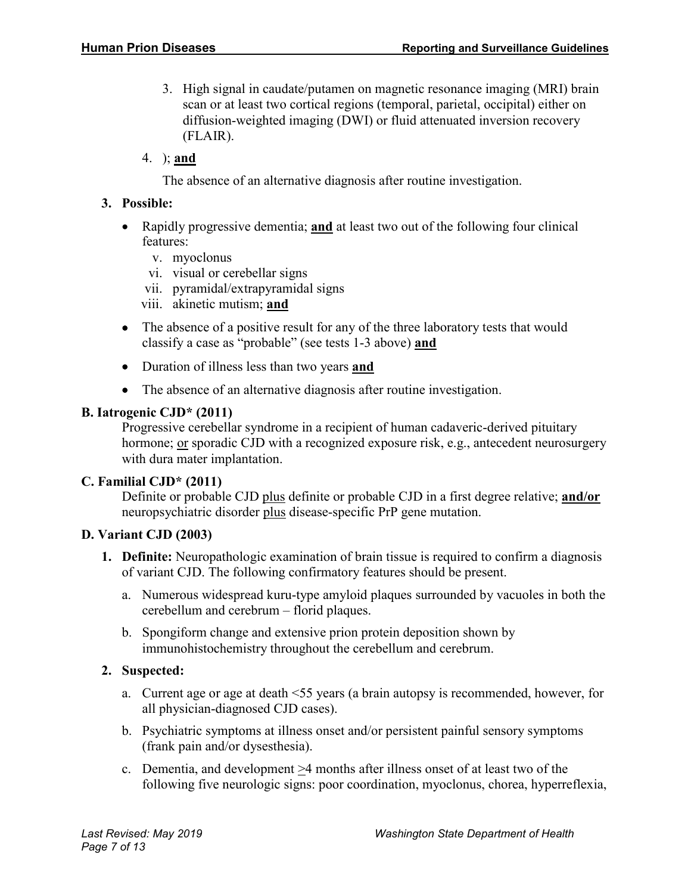- 3. High signal in caudate/putamen on magnetic resonance imaging (MRI) brain scan or at least two cortical regions (temporal, parietal, occipital) either on diffusion-weighted imaging (DWI) or fluid attenuated inversion recovery (FLAIR).
- 4. ); **and**

The absence of an alternative diagnosis after routine investigation.

#### **3. Possible:**

- Rapidly progressive dementia; **and** at least two out of the following four clinical features:
	- v. myoclonus
	- vi. visual or cerebellar signs
	- vii. pyramidal/extrapyramidal signs
	- viii. akinetic mutism; **and**
- The absence of a positive result for any of the three laboratory tests that would classify a case as "probable" (see tests 1-3 above) **and**
- Duration of illness less than two years **and**
- The absence of an alternative diagnosis after routine investigation.

#### **B. Iatrogenic CJD\* (2011)**

Progressive cerebellar syndrome in a recipient of human cadaveric-derived pituitary hormone; or sporadic CJD with a recognized exposure risk, e.g., antecedent neurosurgery with dura mater implantation.

#### **C. Familial CJD\* (2011)**

Definite or probable CJD plus definite or probable CJD in a first degree relative; **and/or** neuropsychiatric disorder plus disease-specific PrP gene mutation.

#### **D. Variant CJD (2003)**

- **1. Definite:** Neuropathologic examination of brain tissue is required to confirm a diagnosis of variant CJD. The following confirmatory features should be present.
	- a. Numerous widespread kuru-type amyloid plaques surrounded by vacuoles in both the cerebellum and cerebrum – florid plaques.
	- b. Spongiform change and extensive prion protein deposition shown by immunohistochemistry throughout the cerebellum and cerebrum.

# **2. Suspected:**

- a. Current age or age at death <55 years (a brain autopsy is recommended, however, for all physician-diagnosed CJD cases).
- b. Psychiatric symptoms at illness onset and/or persistent painful sensory symptoms (frank pain and/or dysesthesia).
- c. Dementia, and development >4 months after illness onset of at least two of the following five neurologic signs: poor coordination, myoclonus, chorea, hyperreflexia,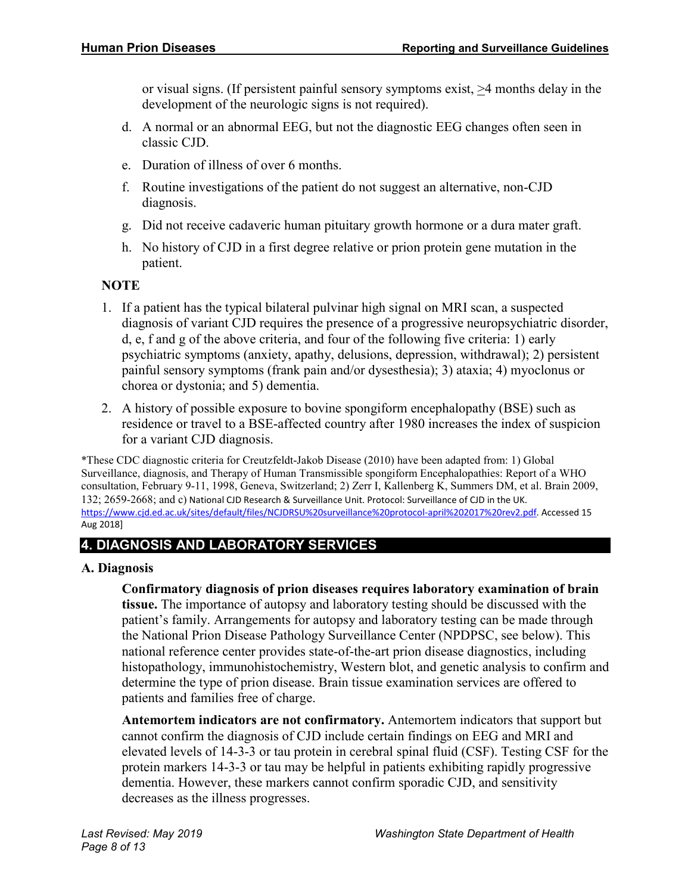or visual signs. (If persistent painful sensory symptoms exist, >4 months delay in the development of the neurologic signs is not required).

- d. A normal or an abnormal EEG, but not the diagnostic EEG changes often seen in classic CJD.
- e. Duration of illness of over 6 months.
- f. Routine investigations of the patient do not suggest an alternative, non-CJD diagnosis.
- g. Did not receive cadaveric human pituitary growth hormone or a dura mater graft.
- h. No history of CJD in a first degree relative or prion protein gene mutation in the patient.

# **NOTE**

- 1. If a patient has the typical bilateral pulvinar high signal on MRI scan, a suspected diagnosis of variant CJD requires the presence of a progressive neuropsychiatric disorder, d, e, f and g of the above criteria, and four of the following five criteria: 1) early psychiatric symptoms (anxiety, apathy, delusions, depression, withdrawal); 2) persistent painful sensory symptoms (frank pain and/or dysesthesia); 3) ataxia; 4) myoclonus or chorea or dystonia; and 5) dementia.
- 2. A history of possible exposure to bovine spongiform encephalopathy (BSE) such as residence or travel to a BSE-affected country after 1980 increases the index of suspicion for a variant CJD diagnosis.

\*These CDC diagnostic criteria for Creutzfeldt-Jakob Disease (2010) have been adapted from: 1) Global Surveillance, diagnosis, and Therapy of Human Transmissible spongiform Encephalopathies: Report of a WHO consultation, February 9-11, 1998, Geneva, Switzerland; 2) Zerr I, Kallenberg K, Summers DM, et al. Brain 2009, 132; 2659-2668; and c) National CJD Research & Surveillance Unit. Protocol: Surveillance of CJD in the UK. [https://www.cjd.ed.ac.uk/sites/default/files/NCJDRSU%20surveillance%20protoc](https://www.cjd.ed.ac.uk/sites/default/files/NCJDRSU%20surveillance%20protocol-april%202017%20rev2.pdf)ol-april%202017%20rev2.pdf. Accessed 15 Aug 2018]

# **4. DIAGNOSIS AND LABORATORY SERVICES**

# **A. Diagnosis**

**Confirmatory diagnosis of prion diseases requires laboratory examination of brain tissue.** The importance of autopsy and laboratory testing should be discussed with the patient's family. Arrangements for autopsy and laboratory testing can be made through the National Prion Disease Pathology Surveillance Center (NPDPSC, see below). This national reference center provides state-of-the-art prion disease diagnostics, including histopathology, immunohistochemistry, Western blot, and genetic analysis to confirm and determine the type of prion disease. Brain tissue examination services are offered to patients and families free of charge.

**Antemortem indicators are not confirmatory.** Antemortem indicators that support but cannot confirm the diagnosis of CJD include certain findings on EEG and MRI and elevated levels of 14-3-3 or tau protein in cerebral spinal fluid (CSF). Testing CSF for the protein markers 14-3-3 or tau may be helpful in patients exhibiting rapidly progressive dementia. However, these markers cannot confirm sporadic CJD, and sensitivity decreases as the illness progresses.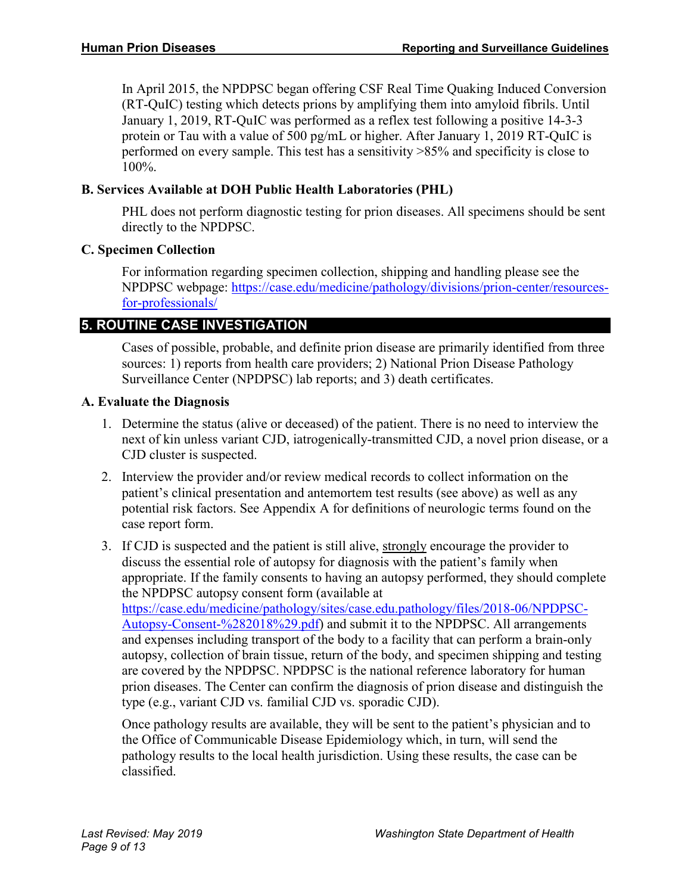In April 2015, the NPDPSC began offering CSF Real Time Quaking Induced Conversion (RT-QuIC) testing which detects prions by amplifying them into amyloid fibrils. Until January 1, 2019, RT-QuIC was performed as a reflex test following a positive 14-3-3 protein or Tau with a value of 500 pg/mL or higher. After January 1, 2019 RT-QuIC is performed on every sample. This test has a sensitivity >85% and specificity is close to 100%.

#### **B. Services Available at DOH Public Health Laboratories (PHL)**

PHL does not perform diagnostic testing for prion diseases. All specimens should be sent directly to the NPDPSC.

#### **C. Specimen Collection**

For information regarding specimen collection, shipping and handling please see the NPDPSC webpage: [https://case.edu/medicine/pathology/divisions/prion-center/resources](https://case.edu/medicine/pathology/divisions/prion-center/resources-for-professionals/)[for-professionals/](https://case.edu/medicine/pathology/divisions/prion-center/resources-for-professionals/)

# **5. ROUTINE CASE INVESTIGATION**

Cases of possible, probable, and definite prion disease are primarily identified from three sources: 1) reports from health care providers; 2) National Prion Disease Pathology Surveillance Center (NPDPSC) lab reports; and 3) death certificates.

#### **A. Evaluate the Diagnosis**

- 1. Determine the status (alive or deceased) of the patient. There is no need to interview the next of kin unless variant CJD, iatrogenically-transmitted CJD, a novel prion disease, or a CJD cluster is suspected.
- 2. Interview the provider and/or review medical records to collect information on the patient's clinical presentation and antemortem test results (see above) as well as any potential risk factors. See Appendix A for definitions of neurologic terms found on the case report form.
- 3. If CJD is suspected and the patient is still alive, strongly encourage the provider to discuss the essential role of autopsy for diagnosis with the patient's family when appropriate. If the family consents to having an autopsy performed, they should complete the NPDPSC autopsy consent form (available at [https://case.edu/medicine/pathology/sites/case.edu.pathology/files/2018-06/NPDPSC-](https://case.edu/medicine/pathology/sites/case.edu.pathology/files/2018-06/NPDPSC-Autopsy-Consent-%282018%29.pdf)[Autopsy-Consent-%282018%29.pdf\)](https://case.edu/medicine/pathology/sites/case.edu.pathology/files/2018-06/NPDPSC-Autopsy-Consent-%282018%29.pdf) and submit it to the NPDPSC. All arrangements and expenses including transport of the body to a facility that can perform a brain-only autopsy, collection of brain tissue, return of the body, and specimen shipping and testing are covered by the NPDPSC. NPDPSC is the national reference laboratory for human prion diseases. The Center can confirm the diagnosis of prion disease and distinguish the type (e.g., variant CJD vs. familial CJD vs. sporadic CJD).

Once pathology results are available, they will be sent to the patient's physician and to the Office of Communicable Disease Epidemiology which, in turn, will send the pathology results to the local health jurisdiction. Using these results, the case can be classified.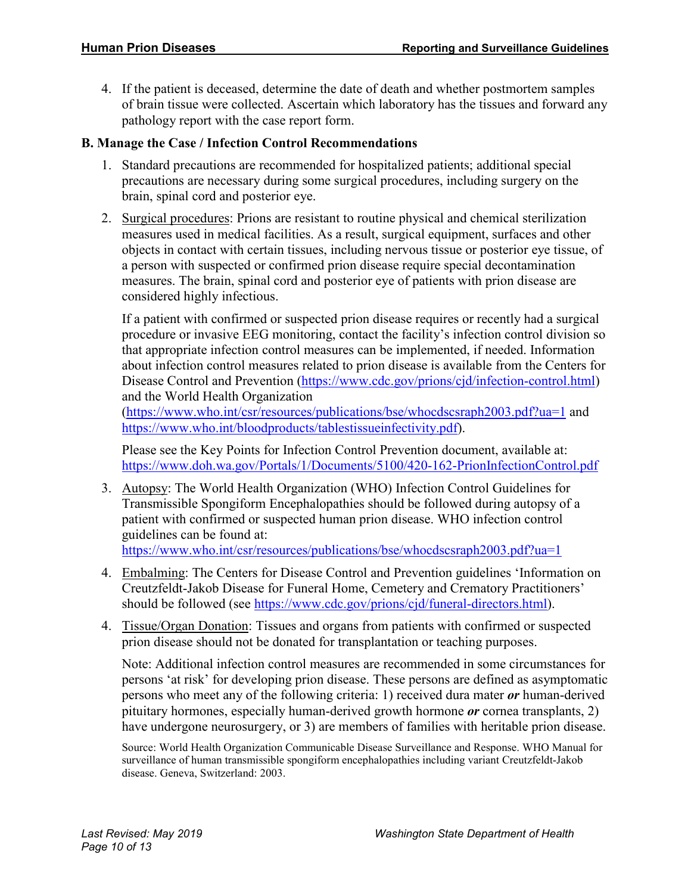4. If the patient is deceased, determine the date of death and whether postmortem samples of brain tissue were collected. Ascertain which laboratory has the tissues and forward any pathology report with the case report form.

#### **B. Manage the Case / Infection Control Recommendations**

- 1. Standard precautions are recommended for hospitalized patients; additional special precautions are necessary during some surgical procedures, including surgery on the brain, spinal cord and posterior eye.
- 2. Surgical procedures: Prions are resistant to routine physical and chemical sterilization measures used in medical facilities. As a result, surgical equipment, surfaces and other objects in contact with certain tissues, including nervous tissue or posterior eye tissue, of a person with suspected or confirmed prion disease require special decontamination measures. The brain, spinal cord and posterior eye of patients with prion disease are considered highly infectious.

If a patient with confirmed or suspected prion disease requires or recently had a surgical procedure or invasive EEG monitoring, contact the facility's infection control division so that appropriate infection control measures can be implemented, if needed. Information about infection control measures related to prion disease is available from the Centers for Disease Control and Prevention [\(https://www.cdc.gov/prions/cjd/infection-control.html\)](https://www.cdc.gov/prions/cjd/infection-control.html) and the World Health Organization

[\(https://www.who.int/csr/resources/publications/bse/whocdscsraph2003.pdf?ua=1](https://www.who.int/csr/resources/publications/bse/whocdscsraph2003.pdf?ua=1) and [https://www.who.int/bloodproducts/tablestissueinfectivity.pdf\)](https://www.who.int/bloodproducts/tablestissueinfectivity.pdf).

Please see the Key Points for Infection Control Prevention document, available at: <https://www.doh.wa.gov/Portals/1/Documents/5100/420-162-PrionInfectionControl.pdf>

3. Autopsy: The World Health Organization (WHO) Infection Control Guidelines for Transmissible Spongiform Encephalopathies should be followed during autopsy of a patient with confirmed or suspected human prion disease. WHO infection control guidelines can be found at:

<https://www.who.int/csr/resources/publications/bse/whocdscsraph2003.pdf?ua=1>

- 4. Embalming: The Centers for Disease Control and Prevention guidelines 'Information on Creutzfeldt-Jakob Disease for Funeral Home, Cemetery and Crematory Practitioners' should be followed (see [https://www.cdc.gov/prions/cjd/funeral-directors.html\)](https://www.cdc.gov/prions/cjd/funeral-directors.html).
- 4. Tissue/Organ Donation: Tissues and organs from patients with confirmed or suspected prion disease should not be donated for transplantation or teaching purposes.

Note: Additional infection control measures are recommended in some circumstances for persons 'at risk' for developing prion disease. These persons are defined as asymptomatic persons who meet any of the following criteria: 1) received dura mater *or* human-derived pituitary hormones, especially human-derived growth hormone *or* cornea transplants, 2) have undergone neurosurgery, or 3) are members of families with heritable prion disease.

Source: World Health Organization Communicable Disease Surveillance and Response. WHO Manual for surveillance of human transmissible spongiform encephalopathies including variant Creutzfeldt-Jakob disease. Geneva, Switzerland: 2003.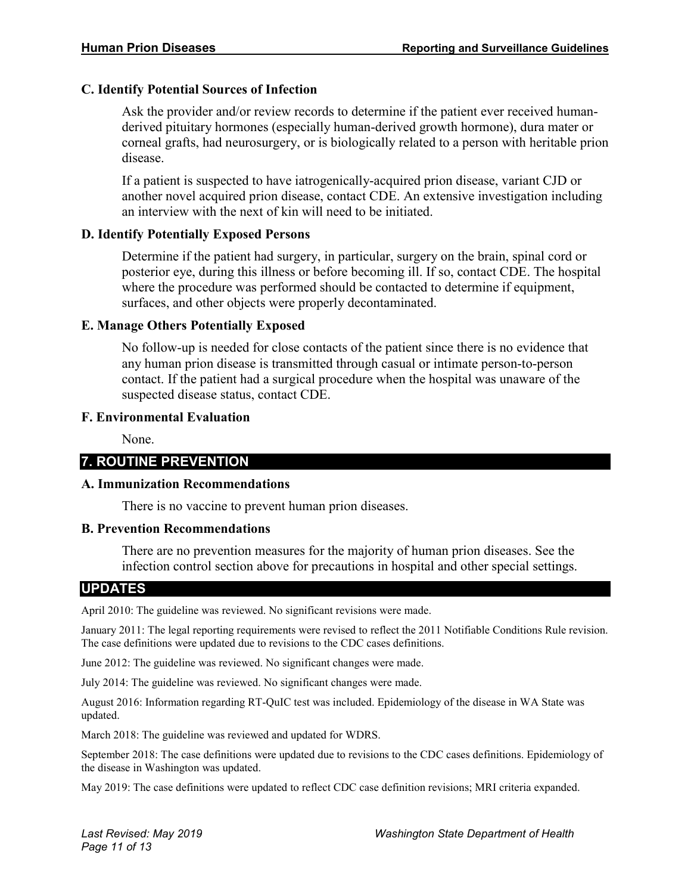#### **C. Identify Potential Sources of Infection**

Ask the provider and/or review records to determine if the patient ever received humanderived pituitary hormones (especially human-derived growth hormone), dura mater or corneal grafts, had neurosurgery, or is biologically related to a person with heritable prion disease.

If a patient is suspected to have iatrogenically-acquired prion disease, variant CJD or another novel acquired prion disease, contact CDE. An extensive investigation including an interview with the next of kin will need to be initiated.

#### **D. Identify Potentially Exposed Persons**

Determine if the patient had surgery, in particular, surgery on the brain, spinal cord or posterior eye, during this illness or before becoming ill. If so, contact CDE. The hospital where the procedure was performed should be contacted to determine if equipment, surfaces, and other objects were properly decontaminated.

#### **E. Manage Others Potentially Exposed**

No follow-up is needed for close contacts of the patient since there is no evidence that any human prion disease is transmitted through casual or intimate person-to-person contact. If the patient had a surgical procedure when the hospital was unaware of the suspected disease status, contact CDE.

#### **F. Environmental Evaluation**

None.

# **7. ROUTINE PREVENTION**

#### **A. Immunization Recommendations**

There is no vaccine to prevent human prion diseases.

#### **B. Prevention Recommendations**

There are no prevention measures for the majority of human prion diseases. See the infection control section above for precautions in hospital and other special settings.

#### **UPDATES**

April 2010: The guideline was reviewed. No significant revisions were made.

January 2011: The legal reporting requirements were revised to reflect the 2011 Notifiable Conditions Rule revision. The case definitions were updated due to revisions to the CDC cases definitions.

June 2012: The guideline was reviewed. No significant changes were made.

July 2014: The guideline was reviewed. No significant changes were made.

August 2016: Information regarding RT-QuIC test was included. Epidemiology of the disease in WA State was updated.

March 2018: The guideline was reviewed and updated for WDRS.

September 2018: The case definitions were updated due to revisions to the CDC cases definitions. Epidemiology of the disease in Washington was updated.

May 2019: The case definitions were updated to reflect CDC case definition revisions; MRI criteria expanded.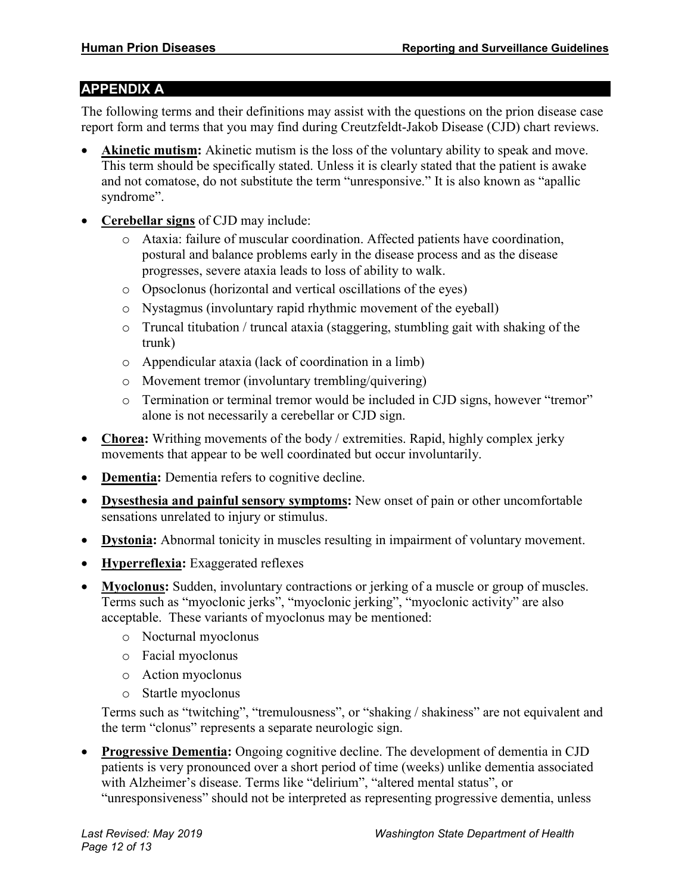#### **APPENDIX A**

The following terms and their definitions may assist with the questions on the prion disease case report form and terms that you may find during Creutzfeldt-Jakob Disease (CJD) chart reviews.

- **Akinetic mutism:** Akinetic mutism is the loss of the voluntary ability to speak and move. This term should be specifically stated. Unless it is clearly stated that the patient is awake and not comatose, do not substitute the term "unresponsive." It is also known as "apallic syndrome".
- **Cerebellar signs** of CJD may include:
	- o Ataxia: failure of muscular coordination. Affected patients have coordination, postural and balance problems early in the disease process and as the disease progresses, severe ataxia leads to loss of ability to walk.
	- o Opsoclonus (horizontal and vertical oscillations of the eyes)
	- o Nystagmus (involuntary rapid rhythmic movement of the eyeball)
	- o Truncal titubation / truncal ataxia (staggering, stumbling gait with shaking of the trunk)
	- o Appendicular ataxia (lack of coordination in a limb)
	- o Movement tremor (involuntary trembling/quivering)
	- o Termination or terminal tremor would be included in CJD signs, however "tremor" alone is not necessarily a cerebellar or CJD sign.
- **Chorea:** Writhing movements of the body / extremities. Rapid, highly complex jerky movements that appear to be well coordinated but occur involuntarily.
- **Dementia:** Dementia refers to cognitive decline.
- **Dysesthesia and painful sensory symptoms:** New onset of pain or other uncomfortable sensations unrelated to injury or stimulus.
- **Dystonia:** Abnormal tonicity in muscles resulting in impairment of voluntary movement.
- **Hyperreflexia:** Exaggerated reflexes
- **Myoclonus:** Sudden, involuntary contractions or jerking of a muscle or group of muscles. Terms such as "myoclonic jerks", "myoclonic jerking", "myoclonic activity" are also acceptable. These variants of myoclonus may be mentioned:
	- o Nocturnal myoclonus
	- o Facial myoclonus
	- o Action myoclonus
	- o Startle myoclonus

Terms such as "twitching", "tremulousness", or "shaking / shakiness" are not equivalent and the term "clonus" represents a separate neurologic sign.

• **Progressive Dementia:** Ongoing cognitive decline. The development of dementia in CJD patients is very pronounced over a short period of time (weeks) unlike dementia associated with Alzheimer's disease. Terms like "delirium", "altered mental status", or "unresponsiveness" should not be interpreted as representing progressive dementia, unless